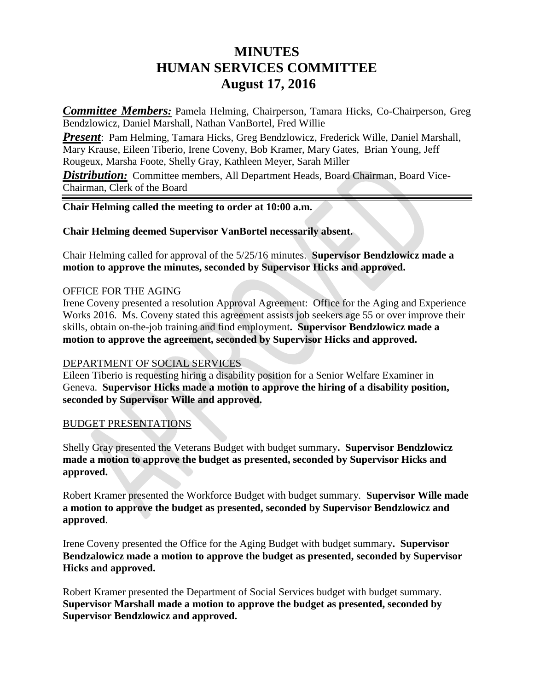# **MINUTES HUMAN SERVICES COMMITTEE August 17, 2016**

*Committee Members:* Pamela Helming, Chairperson, Tamara Hicks, Co-Chairperson, Greg Bendzlowicz, Daniel Marshall, Nathan VanBortel, Fred Willie

*Present*: Pam Helming, Tamara Hicks, Greg Bendzlowicz, Frederick Wille, Daniel Marshall, Mary Krause, Eileen Tiberio, Irene Coveny, Bob Kramer, Mary Gates, Brian Young, Jeff Rougeux, Marsha Foote, Shelly Gray, Kathleen Meyer, Sarah Miller

**Distribution:** Committee members, All Department Heads, Board Chairman, Board Vice-Chairman, Clerk of the Board

## **Chair Helming called the meeting to order at 10:00 a.m.**

**Chair Helming deemed Supervisor VanBortel necessarily absent.**

Chair Helming called for approval of the 5/25/16 minutes. **Supervisor Bendzlowicz made a motion to approve the minutes, seconded by Supervisor Hicks and approved.** 

## OFFICE FOR THE AGING

Irene Coveny presented a resolution Approval Agreement: Office for the Aging and Experience Works 2016. Ms. Coveny stated this agreement assists job seekers age 55 or over improve their skills, obtain on-the-job training and find employment**. Supervisor Bendzlowicz made a motion to approve the agreement, seconded by Supervisor Hicks and approved.**

### DEPARTMENT OF SOCIAL SERVICES

Eileen Tiberio is requesting hiring a disability position for a Senior Welfare Examiner in Geneva. **Supervisor Hicks made a motion to approve the hiring of a disability position, seconded by Supervisor Wille and approved.**

### BUDGET PRESENTATIONS

Shelly Gray presented the Veterans Budget with budget summary**. Supervisor Bendzlowicz made a motion to approve the budget as presented, seconded by Supervisor Hicks and approved.**

Robert Kramer presented the Workforce Budget with budget summary. **Supervisor Wille made a motion to approve the budget as presented, seconded by Supervisor Bendzlowicz and approved**.

Irene Coveny presented the Office for the Aging Budget with budget summary**. Supervisor Bendzalowicz made a motion to approve the budget as presented, seconded by Supervisor Hicks and approved.**

Robert Kramer presented the Department of Social Services budget with budget summary. **Supervisor Marshall made a motion to approve the budget as presented, seconded by Supervisor Bendzlowicz and approved.**